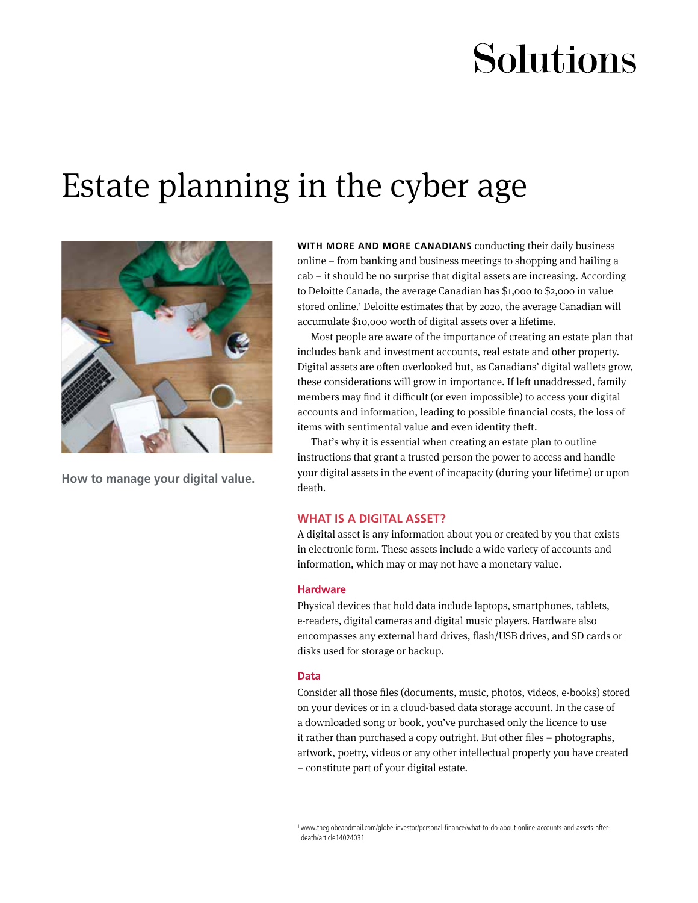# Solutions

## Estate planning in the cyber age



**How to manage your digital value.**

**WITH MORE AND MORE CANADIANS** conducting their daily business online – from banking and business meetings to shopping and hailing a cab – it should be no surprise that digital assets are increasing. According to Deloitte Canada, the average Canadian has \$1,000 to \$2,000 in value stored online.<sup>1</sup> Deloitte estimates that by 2020, the average Canadian will accumulate \$10,000 worth of digital assets over a lifetime.

Most people are aware of the importance of creating an estate plan that includes bank and investment accounts, real estate and other property. Digital assets are often overlooked but, as Canadians' digital wallets grow, these considerations will grow in importance. If left unaddressed, family members may find it difficult (or even impossible) to access your digital accounts and information, leading to possible financial costs, the loss of items with sentimental value and even identity theft.

That's why it is essential when creating an estate plan to outline instructions that grant a trusted person the power to access and handle your digital assets in the event of incapacity (during your lifetime) or upon death.

#### **WHAT IS A DIGITAL ASSET?**

A digital asset is any information about you or created by you that exists in electronic form. These assets include a wide variety of accounts and information, which may or may not have a monetary value.

#### **Hardware**

Physical devices that hold data include laptops, smartphones, tablets, e-readers, digital cameras and digital music players. Hardware also encompasses any external hard drives, flash/USB drives, and SD cards or disks used for storage or backup.

#### **Data**

Consider all those files (documents, music, photos, videos, e-books) stored on your devices or in a cloud-based data storage account. In the case of a downloaded song or book, you've purchased only the licence to use it rather than purchased a copy outright. But other files – photographs, artwork, poetry, videos or any other intellectual property you have created – constitute part of your digital estate.